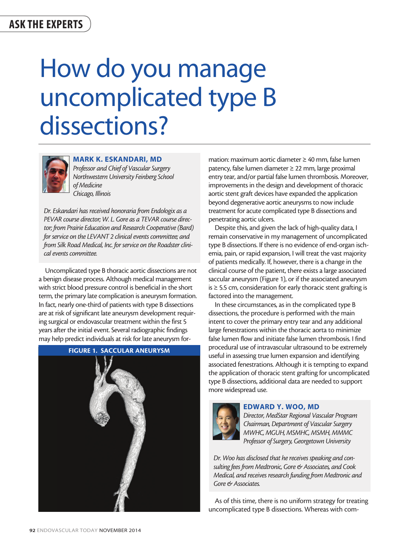## How do you manage uncomplicated type B dissections?



MARK K. ESKANDARI, MD *Professor and Chief of Vascular Surgery Northwestern University Feinberg School of Medicine* 

*Dr. Eskandari has received honoraria from Endologix as a PEVAR course director; W. L. Gore as a TEVAR course director; from Prairie Education and Research Cooperative (Bard) for service on the LEVANT 2 clinical events committee; and from Silk Road Medical, Inc. for service on the Roadster clinical events committee.*

*Chicago, Illinois*

Uncomplicated type B thoracic aortic dissections are not a benign disease process. Although medical management with strict blood pressure control is beneficial in the short term, the primary late complication is aneurysm formation. In fact, nearly one-third of patients with type B dissections are at risk of significant late aneurysm development requiring surgical or endovascular treatment within the first 5 years after the initial event. Several radiographic findings may help predict individuals at risk for late aneurysm for-



mation: maximum aortic diameter ≥ 40 mm, false lumen patency, false lumen diameter ≥ 22 mm, large proximal entry tear, and/or partial false lumen thrombosis. Moreover, improvements in the design and development of thoracic aortic stent graft devices have expanded the application beyond degenerative aortic aneurysms to now include treatment for acute complicated type B dissections and penetrating aortic ulcers.

Despite this, and given the lack of high-quality data, I remain conservative in my management of uncomplicated type B dissections. If there is no evidence of end-organ ischemia, pain, or rapid expansion, I will treat the vast majority of patients medically. If, however, there is a change in the clinical course of the patient, there exists a large associated saccular aneurysm (Figure 1), or if the associated aneurysm is ≥ 5.5 cm, consideration for early thoracic stent grafting is factored into the management.

In these circumstances, as in the complicated type B dissections, the procedure is performed with the main intent to cover the primary entry tear and any additional large fenestrations within the thoracic aorta to minimize false lumen flow and initiate false lumen thrombosis. I find procedural use of intravascular ultrasound to be extremely useful in assessing true lumen expansion and identifying associated fenestrations. Although it is tempting to expand the application of thoracic stent grafting for uncomplicated type B dissections, additional data are needed to support more widespread use.



## EDWARD Y. WOO, MD

*Director, MedStar Regional Vascular Program Chairman, Department of Vascular Surgery MWHC, MGUH, MSMHC, MSMH, MMMC Professor of Surgery, Georgetown University*

*Dr. Woo has disclosed that he receives speaking and consulting fees from Medtronic, Gore & Associates, and Cook Medical, and receives research funding from Medtronic and Gore & Associates.*

As of this time, there is no uniform strategy for treating uncomplicated type B dissections. Whereas with com